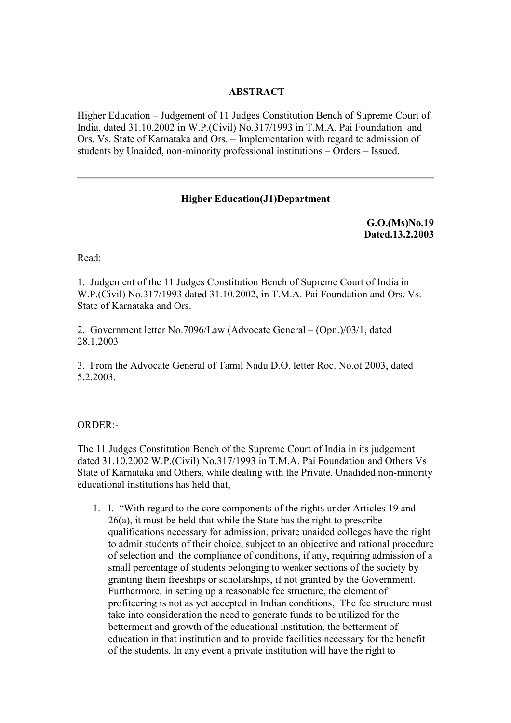### **ABSTRACT**

Higher Education – Judgement of 11 Judges Constitution Bench of Supreme Court of India, dated 31.10.2002 in W.P.(Civil) No.317/1993 in T.M.A. Pai Foundation and Ors. Vs. State of Karnataka and Ors. – Implementation with regard to admission of students by Unaided, non-minority professional institutions – Orders – Issued.

#### **Higher Education(J1)Department**

**G.O.(Ms)No.19 Dated.13.2.2003**

Read:

1. Judgement of the 11 Judges Constitution Bench of Supreme Court of India in W.P.(Civil) No.317/1993 dated 31.10.2002, in T.M.A. Pai Foundation and Ors. Vs. State of Karnataka and Ors.

2. Government letter No.7096/Law (Advocate General – (Opn.)/03/1, dated 28.1.2003

3. From the Advocate General of Tamil Nadu D.O. letter Roc. No.of 2003, dated 5.2.2003.

ORDER:-

The 11 Judges Constitution Bench of the Supreme Court of India in its judgement dated 31.10.2002 W.P.(Civil) No.317/1993 in T.M.A. Pai Foundation and Others Vs State of Karnataka and Others, while dealing with the Private, Unadided non-minority educational institutions has held that,

----------

1. I. "With regard to the core components of the rights under Articles 19 and 26(a), it must be held that while the State has the right to prescribe qualifications necessary for admission, private unaided colleges have the right to admit students of their choice, subject to an objective and rational procedure of selection and the compliance of conditions, if any, requiring admission of a small percentage of students belonging to weaker sections of the society by granting them freeships or scholarships, if not granted by the Government. Furthermore, in setting up a reasonable fee structure, the element of profiteering is not as yet accepted in Indian conditions, The fee structure must take into consideration the need to generate funds to be utilized for the betterment and growth of the educational institution, the betterment of education in that institution and to provide facilities necessary for the benefit of the students. In any event a private institution will have the right to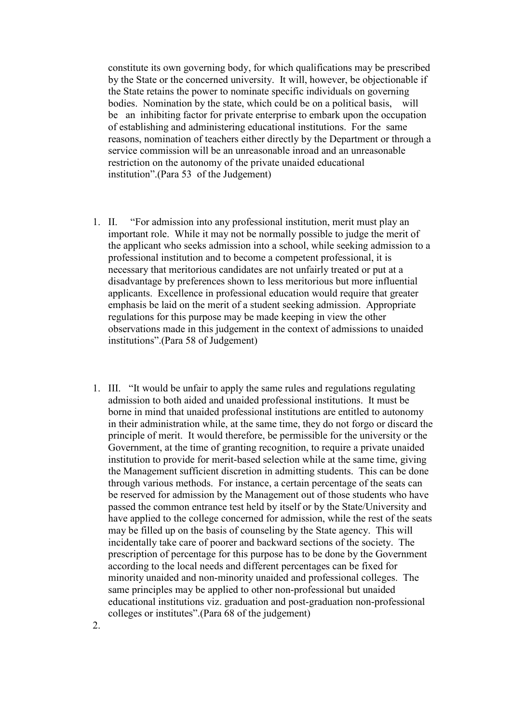constitute its own governing body, for which qualifications may be prescribed by the State or the concerned university. It will, however, be objectionable if the State retains the power to nominate specific individuals on governing bodies. Nomination by the state, which could be on a political basis, will be an inhibiting factor for private enterprise to embark upon the occupation of establishing and administering educational institutions. For the same reasons, nomination of teachers either directly by the Department or through a service commission will be an unreasonable inroad and an unreasonable restriction on the autonomy of the private unaided educational institution".(Para 53 of the Judgement)

- 1. II. "For admission into any professional institution, merit must play an important role. While it may not be normally possible to judge the merit of the applicant who seeks admission into a school, while seeking admission to a professional institution and to become a competent professional, it is necessary that meritorious candidates are not unfairly treated or put at a disadvantage by preferences shown to less meritorious but more influential applicants. Excellence in professional education would require that greater emphasis be laid on the merit of a student seeking admission. Appropriate regulations for this purpose may be made keeping in view the other observations made in this judgement in the context of admissions to unaided institutions".(Para 58 of Judgement)
- 1. III. "It would be unfair to apply the same rules and regulations regulating admission to both aided and unaided professional institutions. It must be borne in mind that unaided professional institutions are entitled to autonomy in their administration while, at the same time, they do not forgo or discard the principle of merit. It would therefore, be permissible for the university or the Government, at the time of granting recognition, to require a private unaided institution to provide for merit-based selection while at the same time, giving the Management sufficient discretion in admitting students. This can be done through various methods. For instance, a certain percentage of the seats can be reserved for admission by the Management out of those students who have passed the common entrance test held by itself or by the State/University and have applied to the college concerned for admission, while the rest of the seats may be filled up on the basis of counseling by the State agency. This will incidentally take care of poorer and backward sections of the society. The prescription of percentage for this purpose has to be done by the Government according to the local needs and different percentages can be fixed for minority unaided and non-minority unaided and professional colleges. The same principles may be applied to other non-professional but unaided educational institutions viz. graduation and post-graduation non-professional colleges or institutes".(Para 68 of the judgement)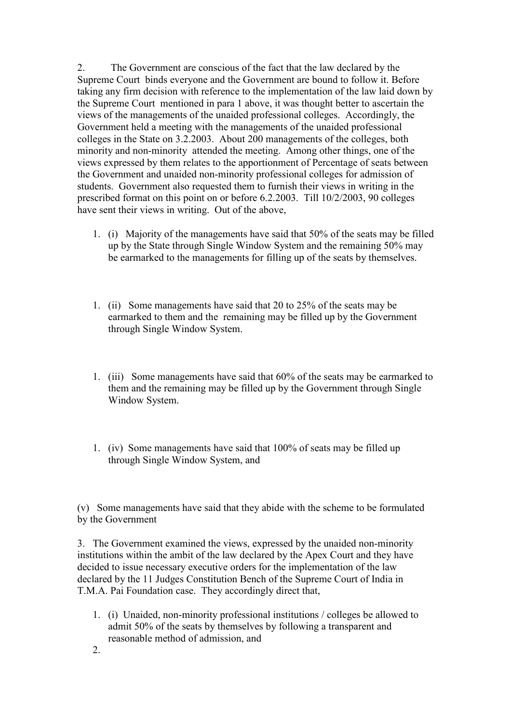2. The Government are conscious of the fact that the law declared by the Supreme Court binds everyone and the Government are bound to follow it. Before taking any firm decision with reference to the implementation of the law laid down by the Supreme Court mentioned in para 1 above, it was thought better to ascertain the views of the managements of the unaided professional colleges. Accordingly, the Government held a meeting with the managements of the unaided professional colleges in the State on 3.2.2003. About 200 managements of the colleges, both minority and non-minority attended the meeting. Among other things, one of the views expressed by them relates to the apportionment of Percentage of seats between the Government and unaided non-minority professional colleges for admission of students. Government also requested them to furnish their views in writing in the prescribed format on this point on or before 6.2.2003. Till 10/2/2003, 90 colleges have sent their views in writing. Out of the above,

- 1. (i) Majority of the managements have said that 50% of the seats may be filled up by the State through Single Window System and the remaining 50% may be earmarked to the managements for filling up of the seats by themselves.
- 1. (ii) Some managements have said that 20 to 25% of the seats may be earmarked to them and the remaining may be filled up by the Government through Single Window System.
- 1. (iii) Some managements have said that 60% of the seats may be earmarked to them and the remaining may be filled up by the Government through Single Window System.
- 1. (iv) Some managements have said that 100% of seats may be filled up through Single Window System, and

(v) Some managements have said that they abide with the scheme to be formulated by the Government

3. The Government examined the views, expressed by the unaided non-minority institutions within the ambit of the law declared by the Apex Court and they have decided to issue necessary executive orders for the implementation of the law declared by the 11 Judges Constitution Bench of the Supreme Court of India in T.M.A. Pai Foundation case. They accordingly direct that,

- 1. (i) Unaided, non-minority professional institutions / colleges be allowed to admit 50% of the seats by themselves by following a transparent and reasonable method of admission, and
- 2.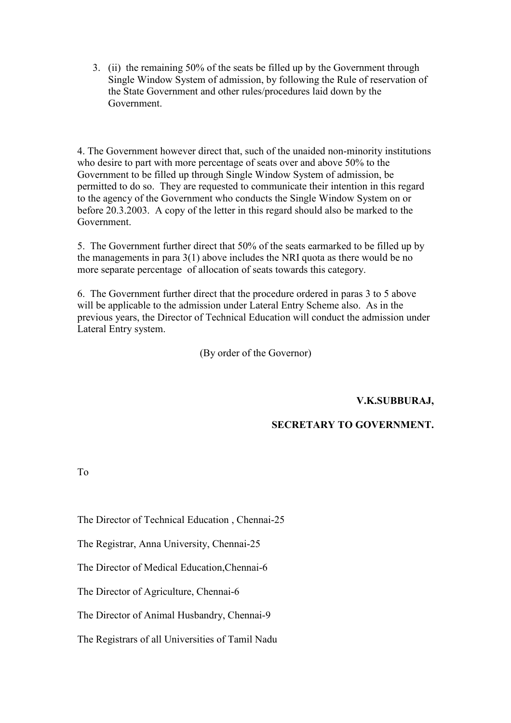3. (ii) the remaining 50% of the seats be filled up by the Government through Single Window System of admission, by following the Rule of reservation of the State Government and other rules/procedures laid down by the Government.

4. The Government however direct that, such of the unaided non-minority institutions who desire to part with more percentage of seats over and above 50% to the Government to be filled up through Single Window System of admission, be permitted to do so. They are requested to communicate their intention in this regard to the agency of the Government who conducts the Single Window System on or before 20.3.2003. A copy of the letter in this regard should also be marked to the Government.

5. The Government further direct that 50% of the seats earmarked to be filled up by the managements in para 3(1) above includes the NRI quota as there would be no more separate percentage of allocation of seats towards this category.

6. The Government further direct that the procedure ordered in paras 3 to 5 above will be applicable to the admission under Lateral Entry Scheme also. As in the previous years, the Director of Technical Education will conduct the admission under Lateral Entry system.

(By order of the Governor)

**V.K.SUBBURAJ,**

# **SECRETARY TO GOVERNMENT.**

To

The Director of Technical Education , Chennai-25

The Registrar, Anna University, Chennai-25

The Director of Medical Education,Chennai-6

The Director of Agriculture, Chennai-6

The Director of Animal Husbandry, Chennai-9

The Registrars of all Universities of Tamil Nadu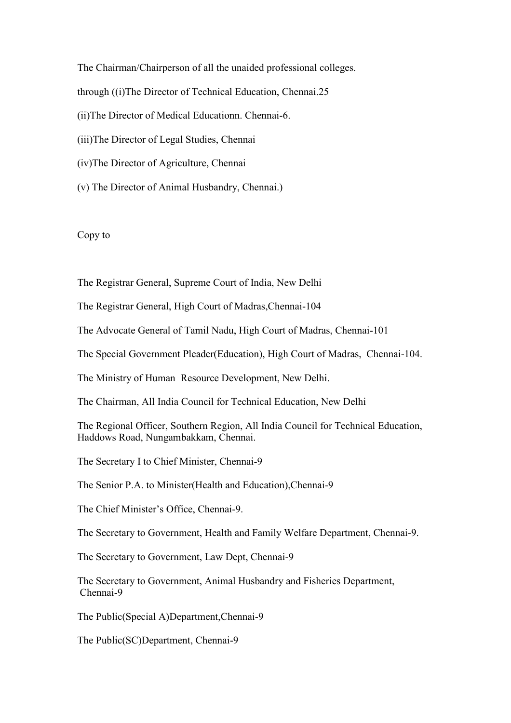The Chairman/Chairperson of all the unaided professional colleges. through ((i)The Director of Technical Education, Chennai.25 (ii)The Director of Medical Educationn. Chennai-6. (iii)The Director of Legal Studies, Chennai (iv)The Director of Agriculture, Chennai

(v) The Director of Animal Husbandry, Chennai.)

#### Copy to

The Registrar General, Supreme Court of India, New Delhi

The Registrar General, High Court of Madras,Chennai-104

The Advocate General of Tamil Nadu, High Court of Madras, Chennai-101

The Special Government Pleader(Education), High Court of Madras, Chennai-104.

The Ministry of Human Resource Development, New Delhi.

The Chairman, All India Council for Technical Education, New Delhi

The Regional Officer, Southern Region, All India Council for Technical Education, Haddows Road, Nungambakkam, Chennai.

The Secretary I to Chief Minister, Chennai-9

The Senior P.A. to Minister(Health and Education),Chennai-9

The Chief Minister's Office, Chennai-9.

The Secretary to Government, Health and Family Welfare Department, Chennai-9.

The Secretary to Government, Law Dept, Chennai-9

The Secretary to Government, Animal Husbandry and Fisheries Department, Chennai-9

The Public(Special A)Department,Chennai-9

The Public(SC)Department, Chennai-9